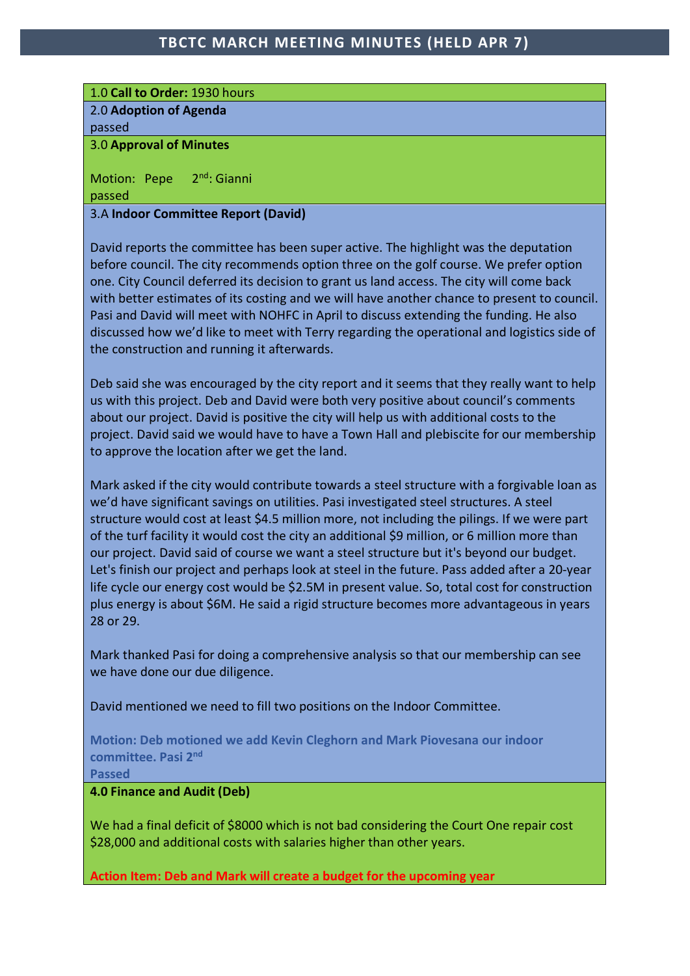# 1.0 **Call to Order:** 1930 hours

2.0 **Adoption of Agenda**

passed

### 3.0 **Approval of Minutes**

Motion: Pepe 2<sup>nd</sup>: Gianni passed

# 3.A **Indoor Committee Report (David)**

David reports the committee has been super active. The highlight was the deputation before council. The city recommends option three on the golf course. We prefer option one. City Council deferred its decision to grant us land access. The city will come back with better estimates of its costing and we will have another chance to present to council. Pasi and David will meet with NOHFC in April to discuss extending the funding. He also discussed how we'd like to meet with Terry regarding the operational and logistics side of the construction and running it afterwards.

Deb said she was encouraged by the city report and it seems that they really want to help us with this project. Deb and David were both very positive about council's comments about our project. David is positive the city will help us with additional costs to the project. David said we would have to have a Town Hall and plebiscite for our membership to approve the location after we get the land.

Mark asked if the city would contribute towards a steel structure with a forgivable loan as we'd have significant savings on utilities. Pasi investigated steel structures. A steel structure would cost at least \$4.5 million more, not including the pilings. If we were part of the turf facility it would cost the city an additional \$9 million, or 6 million more than our project. David said of course we want a steel structure but it's beyond our budget. Let's finish our project and perhaps look at steel in the future. Pass added after a 20-year life cycle our energy cost would be \$2.5M in present value. So, total cost for construction plus energy is about \$6M. He said a rigid structure becomes more advantageous in years 28 or 29.

Mark thanked Pasi for doing a comprehensive analysis so that our membership can see we have done our due diligence.

David mentioned we need to fill two positions on the Indoor Committee.

**Motion: Deb motioned we add Kevin Cleghorn and Mark Piovesana our indoor committee. Pasi 2nd**

**Passed**

# **4.0 Finance and Audit (Deb)**

We had a final deficit of \$8000 which is not bad considering the Court One repair cost \$28,000 and additional costs with salaries higher than other years.

**Action Item: Deb and Mark will create a budget for the upcoming year**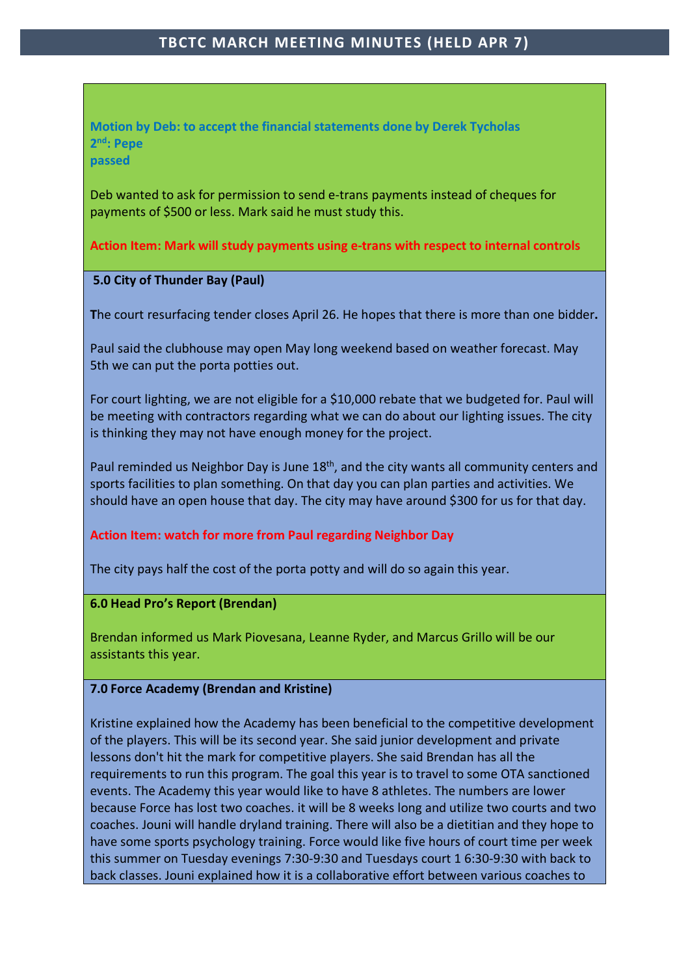**Motion by Deb: to accept the financial statements done by Derek Tycholas 2nd: Pepe passed**

Deb wanted to ask for permission to send e-trans payments instead of cheques for payments of \$500 or less. Mark said he must study this.

**Action Item: Mark will study payments using e-trans with respect to internal controls**

## **5.0 City of Thunder Bay (Paul)**

**T**he court resurfacing tender closes April 26. He hopes that there is more than one bidder**.**

Paul said the clubhouse may open May long weekend based on weather forecast. May 5th we can put the porta potties out.

For court lighting, we are not eligible for a \$10,000 rebate that we budgeted for. Paul will be meeting with contractors regarding what we can do about our lighting issues. The city is thinking they may not have enough money for the project.

Paul reminded us Neighbor Day is June 18<sup>th</sup>, and the city wants all community centers and sports facilities to plan something. On that day you can plan parties and activities. We should have an open house that day. The city may have around \$300 for us for that day.

## **Action Item: watch for more from Paul regarding Neighbor Day**

The city pays half the cost of the porta potty and will do so again this year.

## **6.0 Head Pro's Report (Brendan)**

Brendan informed us Mark Piovesana, Leanne Ryder, and Marcus Grillo will be our assistants this year.

## **7.0 Force Academy (Brendan and Kristine)**

Kristine explained how the Academy has been beneficial to the competitive development of the players. This will be its second year. She said junior development and private lessons don't hit the mark for competitive players. She said Brendan has all the requirements to run this program. The goal this year is to travel to some OTA sanctioned events. The Academy this year would like to have 8 athletes. The numbers are lower because Force has lost two coaches. it will be 8 weeks long and utilize two courts and two coaches. Jouni will handle dryland training. There will also be a dietitian and they hope to have some sports psychology training. Force would like five hours of court time per week this summer on Tuesday evenings 7:30-9:30 and Tuesdays court 1 6:30-9:30 with back to back classes. Jouni explained how it is a collaborative effort between various coaches to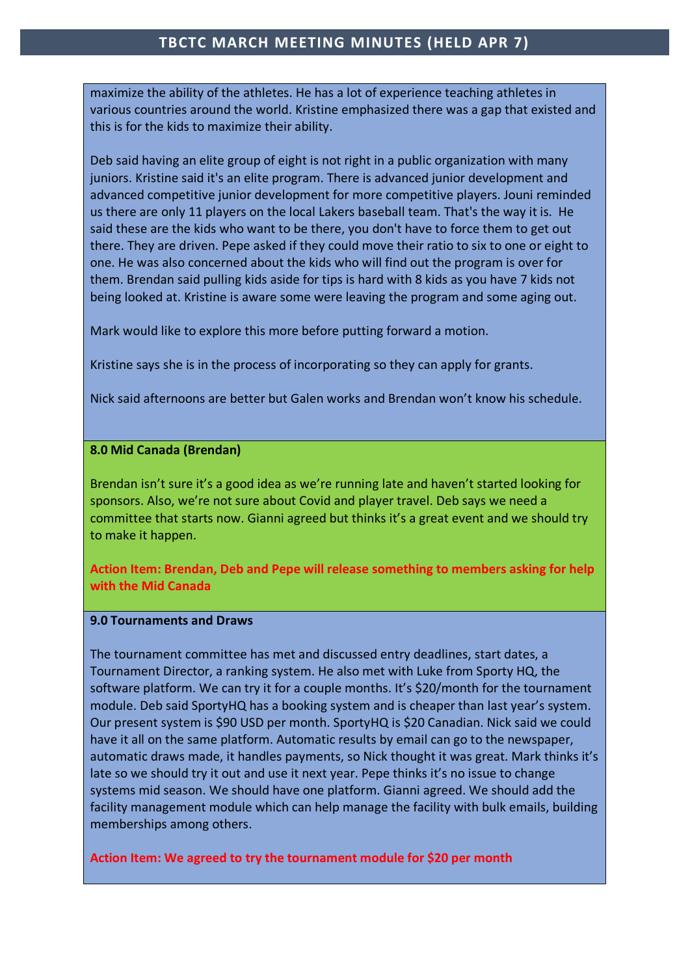maximize the ability of the athletes. He has a lot of experience teaching athletes in various countries around the world. Kristine emphasized there was a gap that existed and this is for the kids to maximize their ability.

Deb said having an elite group of eight is not right in a public organization with many juniors. Kristine said it's an elite program. There is advanced junior development and advanced competitive junior development for more competitive players. Jouni reminded us there are only 11 players on the local Lakers baseball team. That's the way it is. He said these are the kids who want to be there, you don't have to force them to get out there. They are driven. Pepe asked if they could move their ratio to six to one or eight to one. He was also concerned about the kids who will find out the program is over for them. Brendan said pulling kids aside for tips is hard with 8 kids as you have 7 kids not being looked at. Kristine is aware some were leaving the program and some aging out.

Mark would like to explore this more before putting forward a motion.

Kristine says she is in the process of incorporating so they can apply for grants.

Nick said afternoons are better but Galen works and Brendan won't know his schedule.

#### **8.0 Mid Canada (Brendan)**

Brendan isn't sure it's a good idea as we're running late and haven't started looking for sponsors. Also, we're not sure about Covid and player travel. Deb says we need a committee that starts now. Gianni agreed but thinks it's a great event and we should try to make it happen.

**Action Item: Brendan, Deb and Pepe will release something to members asking for help with the Mid Canada**

#### **9.0 Tournaments and Draws**

The tournament committee has met and discussed entry deadlines, start dates, a Tournament Director, a ranking system. He also met with Luke from Sporty HQ, the software platform. We can try it for a couple months. It's \$20/month for the tournament module. Deb said SportyHQ has a booking system and is cheaper than last year's system. Our present system is \$90 USD per month. SportyHQ is \$20 Canadian. Nick said we could have it all on the same platform. Automatic results by email can go to the newspaper, automatic draws made, it handles payments, so Nick thought it was great. Mark thinks it's late so we should try it out and use it next year. Pepe thinks it's no issue to change systems mid season. We should have one platform. Gianni agreed. We should add the facility management module which can help manage the facility with bulk emails, building memberships among others.

**Action Item: We agreed to try the tournament module for \$20 per month**